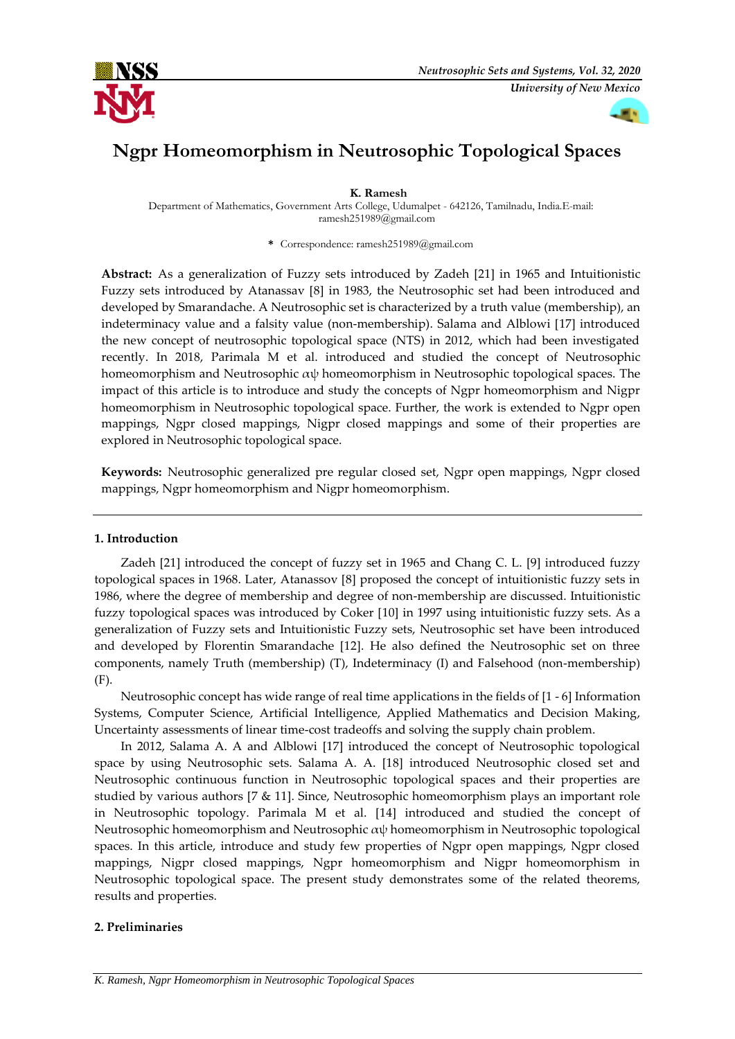

# **Ngpr Homeomorphism in Neutrosophic Topological Spaces**

**K. Ramesh**

Department of Mathematics, Government Arts College, Udumalpet - 642126, Tamilnadu, India.E-mail: ramesh251989@gmail.com

**\*** Correspondence: ramesh251989@gmail.com

**Abstract:** As a generalization of Fuzzy sets introduced by Zadeh [21] in 1965 and Intuitionistic Fuzzy sets introduced by Atanassav [8] in 1983, the Neutrosophic set had been introduced and developed by Smarandache. A Neutrosophic set is characterized by a truth value (membership), an indeterminacy value and a falsity value (non-membership). Salama and Alblowi [17] introduced the new concept of neutrosophic topological space (NTS) in 2012, which had been investigated recently. In 2018, Parimala M et al. introduced and studied the concept of Neutrosophic homeomorphism and Neutrosophic αψ homeomorphism in Neutrosophic topological spaces. The impact of this article is to introduce and study the concepts of Ngpr homeomorphism and Nigpr homeomorphism in Neutrosophic topological space. Further, the work is extended to Ngpr open mappings, Ngpr closed mappings, Nigpr closed mappings and some of their properties are explored in Neutrosophic topological space.

**Keywords:** Neutrosophic generalized pre regular closed set, Ngpr open mappings, Ngpr closed mappings, Ngpr homeomorphism and Nigpr homeomorphism.

## **1. Introduction**

Zadeh [21] introduced the concept of fuzzy set in 1965 and Chang C. L. [9] introduced fuzzy topological spaces in 1968. Later, Atanassov [8] proposed the concept of intuitionistic fuzzy sets in 1986, where the degree of membership and degree of non-membership are discussed. Intuitionistic fuzzy topological spaces was introduced by Coker [10] in 1997 using intuitionistic fuzzy sets. As a generalization of Fuzzy sets and Intuitionistic Fuzzy sets, Neutrosophic set have been introduced and developed by Florentin Smarandache [12]. He also defined the Neutrosophic set on three components, namely Truth (membership) (T), Indeterminacy (I) and Falsehood (non-membership) (F).

Neutrosophic concept has wide range of real time applications in the fields of [1 - 6] Information Systems, Computer Science, Artificial Intelligence, Applied Mathematics and Decision Making, Uncertainty assessments of linear time-cost tradeoffs and solving the supply chain problem.

In 2012, Salama A. A and Alblowi [17] introduced the concept of Neutrosophic topological space by using Neutrosophic sets. Salama A. A. [18] introduced Neutrosophic closed set and Neutrosophic continuous function in Neutrosophic topological spaces and their properties are studied by various authors [7 & 11]. Since, Neutrosophic homeomorphism plays an important role in Neutrosophic topology. Parimala M et al. [14] introduced and studied the concept of Neutrosophic homeomorphism and Neutrosophic αψ homeomorphism in Neutrosophic topological spaces. In this article, introduce and study few properties of Ngpr open mappings, Ngpr closed mappings, Nigpr closed mappings, Ngpr homeomorphism and Nigpr homeomorphism in Neutrosophic topological space. The present study demonstrates some of the related theorems, results and properties.

# **2. Preliminaries**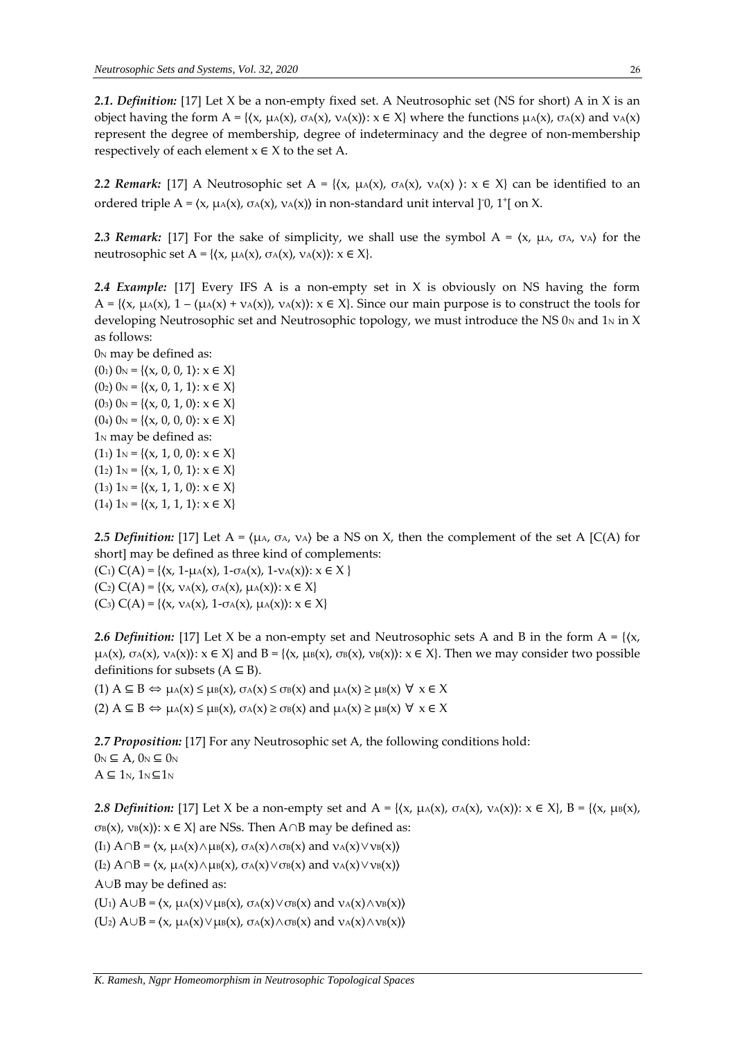*2.1. Definition:* [17] Let X be a non-empty fixed set. A Neutrosophic set (NS for short) A in X is an object having the form  $A = \{ \langle x, \mu_A(x), \sigma_A(x), \nu_A(x) \rangle : x \in X \}$  where the functions  $\mu_A(x), \sigma_A(x)$  and  $\nu_A(x)$ represent the degree of membership, degree of indeterminacy and the degree of non-membership respectively of each element  $x \in X$  to the set A.

*2.2 Remark:* [17] A Neutrosophic set  $A = \{(x, \mu_A(x), \sigma_A(x), \nu_A(x)) : x \in X\}$  can be identified to an ordered triple A =  $(x, \mu_A(x), \sigma_A(x), \nu_A(x))$  in non-standard unit interval ]<sup>-</sup>0, 1<sup>+</sup>[ on X.

2.3 Remark: [17] For the sake of simplicity, we shall use the symbol A =  $\langle x, \mu_A, \sigma_A, \nu_A \rangle$  for the neutrosophic set A = { $(x, \mu_A(x), \sigma_A(x), \nu_A(x))$ :  $x \in X$  }.

*2.4 Example:* [17] Every IFS A is a non-empty set in X is obviously on NS having the form A = { $(x, \mu A(x), 1 - (\mu A(x) + \nu A(x)), \nu A(x))$ :  $x \in X$ }. Since our main purpose is to construct the tools for developing Neutrosophic set and Neutrosophic topology, we must introduce the NS  $0<sub>N</sub>$  and  $1<sub>N</sub>$  in X as follows:

 $0<sub>N</sub>$  may be defined as:  $(0<sub>1</sub>)$   $0<sub>N</sub>$  = { $(x, 0, 0, 1)$ :  $x \in X$ }  $(0_2)$   $0_N = \{(x, 0, 1, 1): x \in X\}$  $(0<sub>3</sub>)$   $0<sub>N</sub> = \{(x, 0, 1, 0): x \in X\}$  $(0_4)$   $0_N = \{(x, 0, 0, 0): x \in X\}$ 1<sub>N</sub> may be defined as:  $(1_1) 1_N = \{(x, 1, 0, 0): x \in X\}$  $(1_2) 1_N = \{(x, 1, 0, 1): x \in X\}$  $(1_3) 1_N = \{(x, 1, 1, 0): x \in X\}$ (14)  $1_N = \{(x, 1, 1, 1): x \in X\}$ 

*2.5 Definition:* [17] Let  $A = \{ \mu_A, \sigma_A, \nu_A \}$  be a NS on X, then the complement of the set A [C(A) for short] may be defined as three kind of complements:

(C<sub>1</sub>)  $C(A) = \{(x, 1-\mu A(x), 1-\sigma A(x), 1-\nu A(x)) : x \in X \}$ (C<sub>2</sub>) C(A) = { $(x, ν_A(x), σ_A(x), μ_A(x))$ :  $x ∈ X$ } (C<sub>3</sub>)  $C(A) = \{(x, v_A(x), 1-\sigma_A(x), \mu_A(x)) : x \in X\}$ 

**2.6 Definition:** [17] Let X be a non-empty set and Neutrosophic sets A and B in the form  $A = \{ \langle x, \rangle \}$  $\mu(A(x), \sigma_A(x), \nu_A(x))$ :  $x \in X$ } and  $B = \{(x, \mu_B(x), \sigma_B(x), \nu_B(x))$ :  $x \in X\}$ . Then we may consider two possible definitions for subsets  $(A \subseteq B)$ .

(1)  $A \subseteq B \Leftrightarrow \mu_A(x) \leq \mu_B(x)$ ,  $\sigma_A(x) \leq \sigma_B(x)$  and  $\mu_A(x) \geq \mu_B(x)$   $\forall x \in X$ (2)  $A \subseteq B \Leftrightarrow \mu_A(x) \leq \mu_B(x)$ ,  $\sigma_A(x) \geq \sigma_B(x)$  and  $\mu_A(x) \geq \mu_B(x)$   $\forall x \in X$ 

*2.7 Proposition:* [17] For any Neutrosophic set A, the following conditions hold:

 $0_N \subseteq A$ ,  $0_N \subseteq 0_N$  $A \subseteq 1_N$ ,  $1_N \subseteq 1_N$ 

*2.8 Definition:* [17] Let X be a non-empty set and A = { $\langle x, \mu_A(x), \sigma_A(x), \nu_A(x) \rangle$ :  $x \in X$ }, B = { $\langle x, \mu_B(x), \sigma_A(x), \nu_A(x) \rangle$  $\sigma$ B(x), νB(x)):  $x \in X$  are NSs. Then A∩B may be defined as:

(I<sub>1</sub>)  $A \cap B = \langle x, \mu_A(x) \wedge \mu_B(x), \sigma_A(x) \wedge \sigma_B(x) \rangle$  and  $v_A(x) \vee v_B(x)$ 

(I<sub>2</sub>)  $A \cap B = \langle x, \mu_A(x) \wedge \mu_B(x), \sigma_A(x) \vee \sigma_B(x) \rangle$  and  $v_A(x) \vee v_B(x)$ 

A∪B may be defined as:

(U<sub>1</sub>)  $A \cup B = \langle x, \mu_A(x) \vee \mu_B(x), \sigma_A(x) \vee \sigma_B(x) \rangle$  and  $v_A(x) \wedge v_B(x)$ 

(U<sub>2</sub>)  $A ∪ B = \langle x, μ_A(x) ∨ μ_B(x), σ_A(x) ∧ σ_B(x)$  and  $ν_A(x) ∧ ν_B(x)$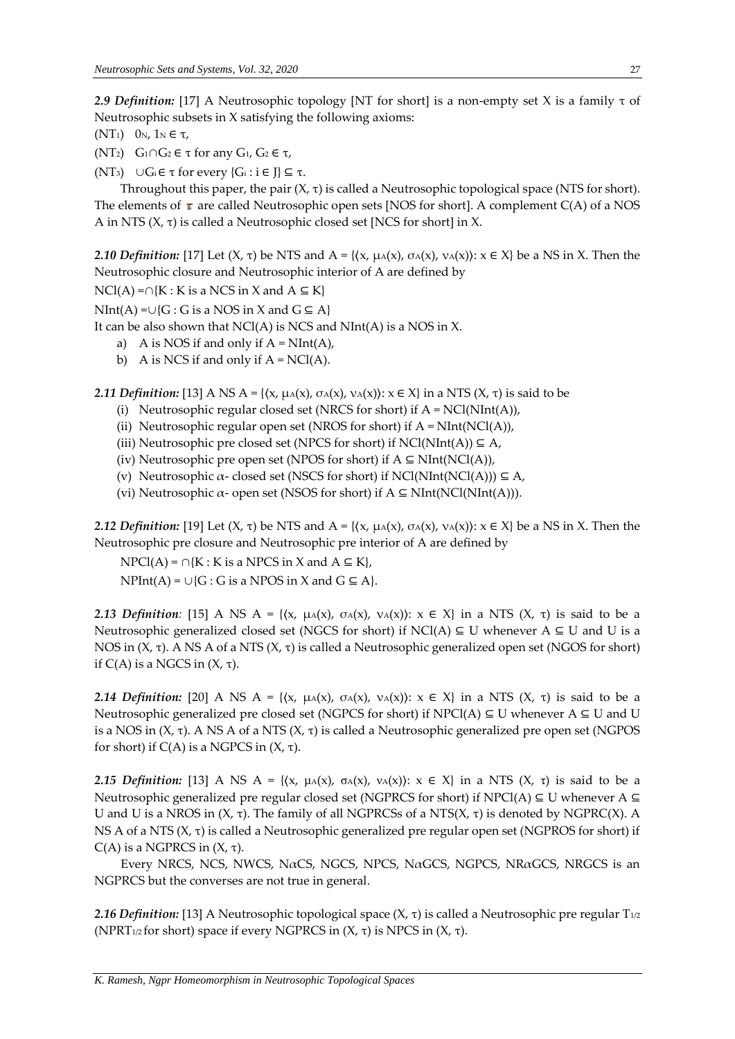*2.9 Definition:* [17] A Neutrosophic topology [NT for short] is a non-empty set X is a family τ of Neutrosophic subsets in X satisfying the following axioms:

- (NT<sub>1</sub>)  $0<sub>N</sub>$ , 1<sub>N</sub>  $\in$  τ<sub>*i*</sub>
- (NT<sub>2</sub>)  $G_1 ∩ G_2 ∈ τ$  for any  $G_1$ ,  $G_2 ∈ τ$ ,

(NT<sub>3</sub>) ∪ $G_i$  ∈ τ for every { $G_i$  :  $i \in J$ } ⊆ τ.

Throughout this paper, the pair  $(X, \tau)$  is called a Neutrosophic topological space (NTS for short). The elements of  $\tau$  are called Neutrosophic open sets [NOS for short]. A complement C(A) of a NOS A in NTS  $(X, \tau)$  is called a Neutrosophic closed set [NCS for short] in X.

*2.10 Definition:* [17] Let  $(X, \tau)$  be NTS and  $A = \{(x, \mu_A(x), \sigma_A(x), \nu_A(x)\}: x \in X\}$  be a NS in X. Then the Neutrosophic closure and Neutrosophic interior of A are defined by

 $NCl(A) = \bigcap \{K : K \text{ is a NCS in } X \text{ and } A \subseteq K\}$ 

 $NInt(A) = ∪ {G : G is a NOS in X and G ⊆ A}$ 

It can be also shown that  $NCI(A)$  is NCS and  $NInt(A)$  is a NOS in X.

- a) A is NOS if and only if  $A = NInt(A)$ ,
- b) A is NCS if and only if  $A = NCl(A)$ .

*2.11 Definition:* [13] A NS A = { $(x, μ_A(x), σ_A(x), ν_A(x))$ :  $x \in X$ } in a NTS  $(X, τ)$  is said to be

- (i) Neutrosophic regular closed set (NRCS for short) if  $A = NCl(NInt(A)),$
- (ii) Neutrosophic regular open set (NROS for short) if  $A = NInt(NCl(A)),$
- (iii) Neutrosophic pre closed set (NPCS for short) if  $NCI(NInt(A)) \subseteq A$ ,
- (iv) Neutrosophic pre open set (NPOS for short) if  $A \subseteq NInt(NCl(A)),$
- (v) Neutrosophic  $\alpha$  closed set (NSCS for short) if NCl(NInt(NCl(A)))  $\subseteq$  A,
- (vi) Neutrosophic  $\alpha$  open set (NSOS for short) if  $A \subseteq NInt(NCl(NInt(A))).$

*2.12 Definition:* [19] Let  $(X, \tau)$  be NTS and  $A = \{(x, \mu_A(x), \sigma_A(x), \nu_A(x)) : x \in X\}$  be a NS in X. Then the Neutrosophic pre closure and Neutrosophic pre interior of A are defined by

 $NPCI(A) = \bigcap \{K : K \text{ is a } NPCS \text{ in } X \text{ and } A \subseteq K\},\$  $NPht(A) = \cup \{G : G \text{ is a NPOS in } X \text{ and } G \subseteq A\}.$ 

*2.13 Definition:* [15] A NS A = { $(x, \mu_A(x), \sigma_A(x), \nu_A(x))$ :  $x \in X$ } in a NTS  $(X, \tau)$  is said to be a Neutrosophic generalized closed set (NGCS for short) if NCl(A) ⊆ U whenever A ⊆ U and U is a NOS in  $(X, τ)$ . A NS A of a NTS  $(X, τ)$  is called a Neutrosophic generalized open set (NGOS for short) if  $C(A)$  is a NGCS in  $(X, τ)$ .

*2.14 Definition:* [20] A NS A = { $(x, μ)(x), σ(x)(x), ν(x))$ :  $x \in X$ } in a NTS  $(X, τ)$  is said to be a Neutrosophic generalized pre closed set (NGPCS for short) if NPCl(A) ⊆ U whenever A ⊆ U and U is a NOS in  $(X, τ)$ . A NS A of a NTS  $(X, τ)$  is called a Neutrosophic generalized pre open set (NGPOS for short) if C(A) is a NGPCS in (X, τ).

*2.15 Definition:* [13] A NS A = { $(x, μA(x), σA(x), νA(x))$ :  $x \in X$ } in a NTS  $(X, τ)$  is said to be a Neutrosophic generalized pre regular closed set (NGPRCS for short) if  $NPCI(A) \subseteq U$  whenever A  $\subseteq$ U and U is a NROS in  $(X, τ)$ . The family of all NGPRCSs of a NTS $(X, τ)$  is denoted by NGPRC $(X)$ . A NS A of a NTS  $(X, \tau)$  is called a Neutrosophic generalized pre regular open set (NGPROS for short) if C(A) is a NGPRCS in (X, τ).

Every NRCS, NCS, NWCS, NαCS, NGCS, NPCS, NαGCS, NGPCS, NRαGCS, NRGCS is an NGPRCS but the converses are not true in general.

**2.16** *Definition:* [13] A Neutrosophic topological space  $(X, \tau)$  is called a Neutrosophic pre regular  $T_{1/2}$ (NPRT<sub>1/2</sub> for short) space if every NGPRCS in  $(X, \tau)$  is NPCS in  $(X, \tau)$ .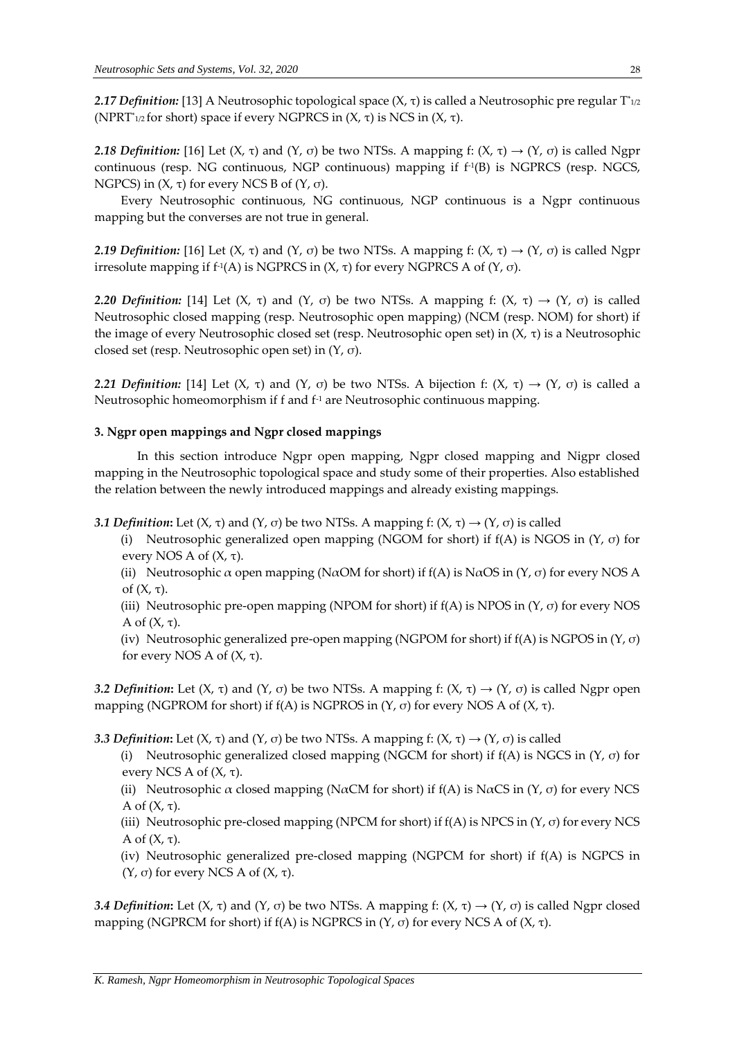*2.17 Definition:* [13] A Neutrosophic topological space (X, τ) is called a Neutrosophic pre regular T\* 1/2 (NPRT\* 1/2 for short) space if every NGPRCS in (X, τ) is NCS in (X, τ).

*2.18 Definition:* [16] Let (X, τ) and (Y, σ) be two NTSs. A mapping f: (X, τ)  $\rightarrow$  (Y, σ) is called Ngpr continuous (resp. NG continuous, NGP continuous) mapping if f-1 (B) is NGPRCS (resp. NGCS, NGPCS) in  $(X, τ)$  for every NCS B of  $(Y, σ)$ .

Every Neutrosophic continuous, NG continuous, NGP continuous is a Ngpr continuous mapping but the converses are not true in general.

*2.19 Definition:* [16] Let  $(X, \tau)$  and  $(Y, \sigma)$  be two NTSs. A mapping f:  $(X, \tau) \rightarrow (Y, \sigma)$  is called Ngpr irresolute mapping if f<sup>1</sup>(A) is NGPRCS in (X, τ) for every NGPRCS A of (Y, σ).

*2.20 Definition:* [14] Let (X, τ) and (Y, σ) be two NTSs. A mapping f: (X, τ)  $\rightarrow$  (Y, σ) is called Neutrosophic closed mapping (resp. Neutrosophic open mapping) (NCM (resp. NOM) for short) if the image of every Neutrosophic closed set (resp. Neutrosophic open set) in (X, τ) is a Neutrosophic closed set (resp. Neutrosophic open set) in (Y, σ).

*2.21 Definition:* [14] Let (X, τ) and (Y, σ) be two NTSs. A bijection f: (X, τ)  $\rightarrow$  (Y, σ) is called a Neutrosophic homeomorphism if f and f<sup>-1</sup> are Neutrosophic continuous mapping.

#### **3. Ngpr open mappings and Ngpr closed mappings**

 In this section introduce Ngpr open mapping, Ngpr closed mapping and Nigpr closed mapping in the Neutrosophic topological space and study some of their properties. Also established the relation between the newly introduced mappings and already existing mappings.

**3.1 Definition:** Let  $(X, \tau)$  and  $(Y, \sigma)$  be two NTSs. A mapping f:  $(X, \tau) \rightarrow (Y, \sigma)$  is called

(i) Neutrosophic generalized open mapping (NGOM for short) if  $f(A)$  is NGOS in  $(Y, \sigma)$  for every NOS A of  $(X, \tau)$ .

(ii) Neutrosophic  $\alpha$  open mapping (N $\alpha$ OM for short) if f(A) is N $\alpha$ OS in (Y,  $\sigma$ ) for every NOS A of  $(X, \tau)$ .

(iii) Neutrosophic pre-open mapping (NPOM for short) if  $f(A)$  is NPOS in  $(Y, \sigma)$  for every NOS A of (X, τ).

(iv) Neutrosophic generalized pre-open mapping (NGPOM for short) if  $f(A)$  is NGPOS in  $(Y, \sigma)$ for every NOS A of (X, τ).

*3.2 Definition*: Let (X, τ) and (Y, σ) be two NTSs. A mapping f: (X, τ)  $\rightarrow$  (Y, σ) is called Ngpr open mapping (NGPROM for short) if  $f(A)$  is NGPROS in  $(Y, σ)$  for every NOS A of  $(X, τ)$ .

*3.3 Definition***:** Let (X, τ) and (Y, σ) be two NTSs. A mapping f: (X, τ)  $\rightarrow$  (Y, σ) is called

(i) Neutrosophic generalized closed mapping (NGCM for short) if  $f(A)$  is NGCS in  $(Y, \sigma)$  for every NCS A of  $(X, τ)$ .

(ii) Neutrosophic  $\alpha$  closed mapping (N $\alpha$ CM for short) if f(A) is N $\alpha$ CS in (Y,  $\sigma$ ) for every NCS A of  $(X, τ)$ .

(iii) Neutrosophic pre-closed mapping (NPCM for short) if  $f(A)$  is NPCS in  $(Y, \sigma)$  for every NCS A of  $(X, τ)$ .

(iv) Neutrosophic generalized pre-closed mapping (NGPCM for short) if f(A) is NGPCS in (Y, σ) for every NCS A of  $(X, τ)$ .

*3.4 Definition*: Let (*X*, τ) and (*Y*, σ) be two NTSs. A mapping f: (*X*, τ) → (*Y*, σ) is called Ngpr closed mapping (NGPRCM for short) if  $f(A)$  is NGPRCS in  $(Y, σ)$  for every NCS A of  $(X, τ)$ .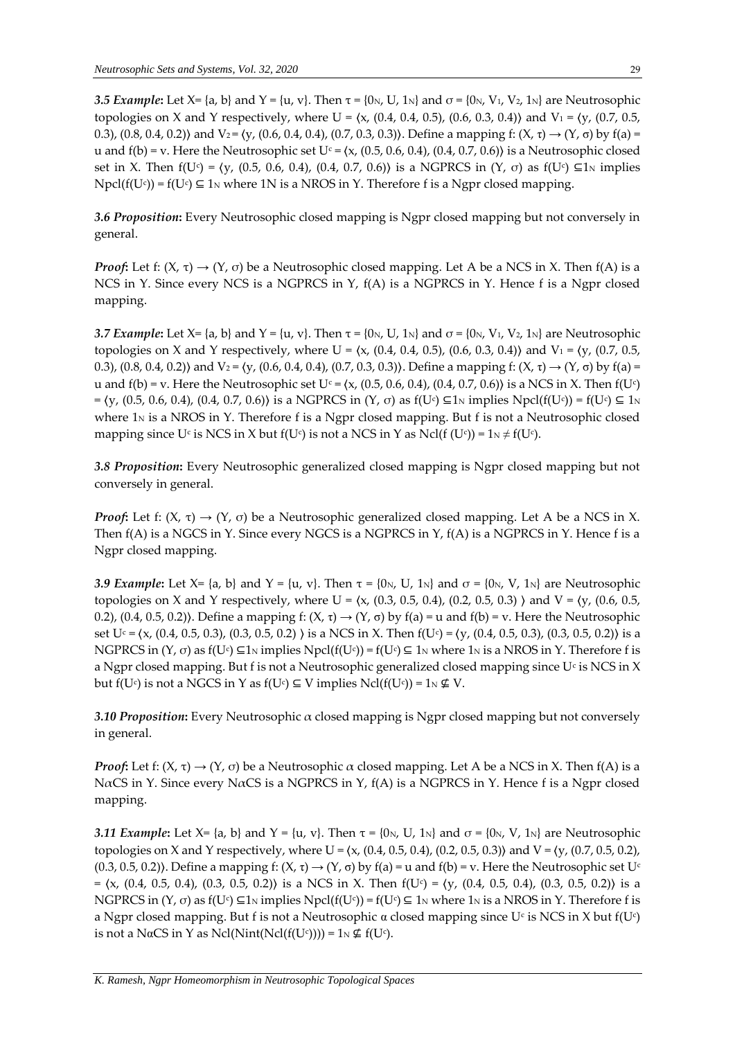*3.5 Example*: Let X= {a, b} and Y = {u, v}. Then  $\tau$  = {0<sub>N</sub>, U, 1<sub>N</sub>} and  $\sigma$  = {0<sub>N</sub>, V<sub>1</sub>, V<sub>2</sub>, 1<sub>N</sub>} are Neutrosophic topologies on X and Y respectively, where U =  $(x, (0.4, 0.4, 0.5), (0.6, 0.3, 0.4))$  and V<sub>1</sub> =  $(y, (0.7, 0.5, 0.4))$ 0.3), (0.8, 0.4, 0.2)) and V<sub>2</sub> =  $(y, (0.6, 0.4, 0.4), (0.7, 0.3, 0.3))$ . Define a mapping f:  $(X, \tau) \rightarrow (Y, \sigma)$  by f(a) = u and  $f(b) = v$ . Here the Neutrosophic set  $U<sup>c</sup> = \langle x, (0.5, 0.6, 0.4), (0.4, 0.7, 0.6) \rangle$  is a Neutrosophic closed set in X. Then  $f(U<sup>c</sup>) = (y, (0.5, 0.6, 0.4), (0.4, 0.7, 0.6))$  is a NGPRCS in  $(Y, \sigma)$  as  $f(U<sup>c</sup>) \subseteq 1_N$  implies  $Npel(f(U<sup>c</sup>))$  = f(U<sup>c</sup>)  $\subseteq$  1<sub>N</sub> where 1N is a NROS in Y. Therefore f is a Ngpr closed mapping.

*3.6 Proposition***:** Every Neutrosophic closed mapping is Ngpr closed mapping but not conversely in general.

*Proof*: Let f:  $(X, \tau) \rightarrow (Y, \sigma)$  be a Neutrosophic closed mapping. Let A be a NCS in X. Then f(A) is a NCS in Y. Since every NCS is a NGPRCS in Y, f(A) is a NGPRCS in Y. Hence f is a Ngpr closed mapping.

*3.7 Example*: Let X= {a, b} and Y = {u, v}. Then  $\tau$  = {0<sub>N</sub>, U, 1<sub>N</sub>} and  $\sigma$  = {0<sub>N</sub>, V<sub>1</sub>, V<sub>2</sub>, 1<sub>N</sub>} are Neutrosophic topologies on X and Y respectively, where U =  $(x, (0.4, 0.4, 0.5), (0.6, 0.3, 0.4))$  and V<sub>1</sub> =  $(y, (0.7, 0.5, 0.4))$ 0.3), (0.8, 0.4, 0.2)) and V<sub>2</sub> =  $(y, (0.6, 0.4, 0.4), (0.7, 0.3, 0.3))$ . Define a mapping f:  $(X, \tau) \rightarrow (Y, \sigma)$  by f(a) = u and  $f(b)$  = v. Here the Neutrosophic set U<sup>c</sup> =  $(x, (0.5, 0.6, 0.4), (0.4, 0.7, 0.6))$  is a NCS in X. Then  $f(U^c)$  $= \langle y, (0.5, 0.6, 0.4), (0.4, 0.7, 0.6) \rangle$  is a NGPRCS in (Y, σ) as f(U<sup>c</sup>) ⊆1<sub>N</sub> implies Npcl(f(U<sup>c</sup>)) = f(U<sup>c</sup>) ⊆ 1<sub>N</sub> where  $1<sub>N</sub>$  is a NROS in Y. Therefore f is a Ngpr closed mapping. But f is not a Neutrosophic closed mapping since U¢ is NCS in X but f(U¢) is not a NCS in Y as Ncl(f (U¢)) =  $1_\mathrm{N}\neq$  f(U¢).

*3.8 Proposition***:** Every Neutrosophic generalized closed mapping is Ngpr closed mapping but not conversely in general.

*Proof*: Let f:  $(X, \tau) \rightarrow (Y, \sigma)$  be a Neutrosophic generalized closed mapping. Let A be a NCS in X. Then  $f(A)$  is a NGCS in Y. Since every NGCS is a NGPRCS in Y,  $f(A)$  is a NGPRCS in Y. Hence f is a Ngpr closed mapping.

*3.9 Example*: Let X= {a, b} and Y = {u, v}. Then  $\tau$  = {0<sub>N</sub>, U, 1<sub>N</sub>} and  $\sigma$  = {0<sub>N</sub>, V, 1<sub>N</sub>} are Neutrosophic topologies on X and Y respectively, where U =  $(x, (0.3, 0.5, 0.4), (0.2, 0.5, 0.3)$  and V =  $(y, (0.6, 0.5, 0.5, 0.4), (0.2, 0.5, 0.4)$ 0.2), (0.4, 0.5, 0.2)). Define a mapping f: (X, τ)  $\rightarrow$  (Y, σ) by f(a) = u and f(b) = v. Here the Neutrosophic set U<sup>c</sup> = (x, (0.4, 0.5, 0.3), (0.3, 0.5, 0.2) ) is a NCS in X. Then f(U<sup>c</sup>) = (y, (0.4, 0.5, 0.3), (0.3, 0.5, 0.2)) is a NGPRCS in  $(Y, \sigma)$  as  $f(U^c) \subseteq 1_N$  implies Npcl $(f(U^c)) = f(U^c) \subseteq 1_N$  where  $1_N$  is a NROS in Y. Therefore f is a Ngpr closed mapping. But f is not a Neutrosophic generalized closed mapping since U<sub>°</sub> is NCS in X but f(U¢) is not a NGCS in Y as f(U¢)  $\subseteq$  V implies Ncl(f(U¢)) = 1N  $\notin$  V.

*3.10 Proposition***:** Every Neutrosophic α closed mapping is Ngpr closed mapping but not conversely in general.

*Proof*: Let f:  $(X, \tau) \rightarrow (Y, \sigma)$  be a Neutrosophic  $\alpha$  closed mapping. Let A be a NCS in X. Then f(A) is a NaCS in Y. Since every NaCS is a NGPRCS in Y,  $f(A)$  is a NGPRCS in Y. Hence f is a Ngpr closed mapping.

*3.11 Example*: Let X= {a, b} and Y = {u, v}. Then  $\tau$  = {0<sub>N</sub>, U, 1<sub>N</sub>} and  $\sigma$  = {0<sub>N</sub>, V, 1<sub>N</sub>} are Neutrosophic topologies on X and Y respectively, where U =  $(x, (0.4, 0.5, 0.4), (0.2, 0.5, 0.3))$  and V =  $(y, (0.7, 0.5, 0.2),$  $(0.3, 0.5, 0.2)$ ). Define a mapping f:  $(X, \tau) \rightarrow (Y, \sigma)$  by  $f(a) = u$  and  $f(b) = v$ . Here the Neutrosophic set U<sup>c</sup>  $= \langle x, (0.4, 0.5, 0.4), (0.3, 0.5, 0.2) \rangle$  is a NCS in X. Then  $f(U<sup>c</sup>) = \langle y, (0.4, 0.5, 0.4), (0.3, 0.5, 0.2) \rangle$  is a NGPRCS in (Y,  $\sigma$ ) as f(U $\circ$ )  $\subseteq$ 1<sub>N</sub> implies Npcl(f(U $\circ$ )) = f(U $\circ$ )  $\subseteq$  1<sub>N</sub> where 1<sub>N</sub> is a NROS in Y. Therefore f is a Ngpr closed mapping. But f is not a Neutrosophic  $\alpha$  closed mapping since U<sup>c</sup> is NCS in X but f(U<sup>c</sup>) is not a NαCS in Y as Ncl(Nint(Ncl(f(Uc)))) =  $1_N \nsubseteq f(Uc)$ .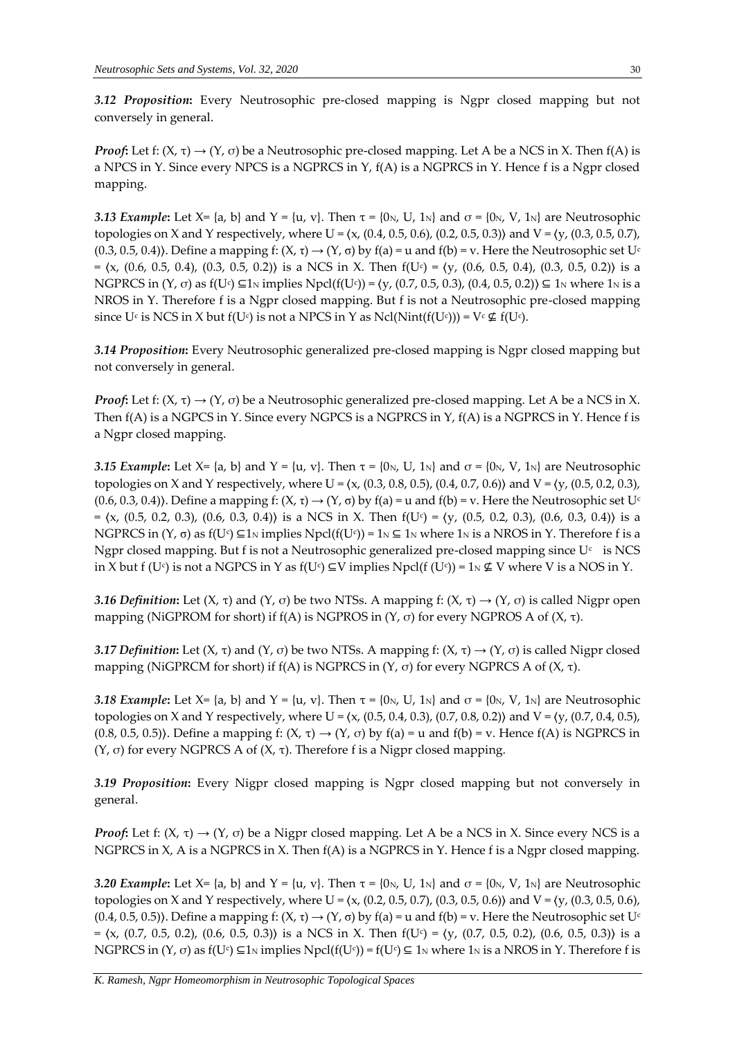*3.12 Proposition***:** Every Neutrosophic pre-closed mapping is Ngpr closed mapping but not conversely in general.

*Proof***:** Let f:  $(X, \tau) \rightarrow (Y, \sigma)$  be a Neutrosophic pre-closed mapping. Let A be a NCS in X. Then  $f(A)$  is a NPCS in Y. Since every NPCS is a NGPRCS in Y,  $f(A)$  is a NGPRCS in Y. Hence f is a Ngpr closed mapping.

*3.13 Example*: Let X= {a, b} and Y = {u, v}. Then  $\tau$  = {0<sub>N</sub>, U, 1<sub>N</sub>} and  $\sigma$  = {0<sub>N</sub>, V, 1<sub>N</sub>} are Neutrosophic topologies on X and Y respectively, where U =  $(x, (0.4, 0.5, 0.6), (0.2, 0.5, 0.3))$  and V =  $(y, (0.3, 0.5, 0.7))$ ,  $(0.3, 0.5, 0.4)$ ). Define a mapping f:  $(X, \tau) \rightarrow (Y, \sigma)$  by  $f(a) = u$  and  $f(b) = v$ . Here the Neutrosophic set U<sup>c</sup>  $= \langle x, (0.6, 0.5, 0.4), (0.3, 0.5, 0.2) \rangle$  is a NCS in X. Then  $f(U<sup>c</sup>) = \langle y, (0.6, 0.5, 0.4), (0.3, 0.5, 0.2) \rangle$  is a NGPRCS in (Υ, σ) as f(U<sup>c</sup>) ⊆1<sub>N</sub> implies Npcl(f(U<sup>c</sup>)) =  $(y, (0.7, 0.5, 0.3), (0.4, 0.5, 0.2)) ⊆ 1_N$  where 1<sub>N</sub> is a NROS in Y. Therefore f is a Ngpr closed mapping. But f is not a Neutrosophic pre-closed mapping since U¢ is NCS in X but f(U¢) is not a NPCS in Y as Ncl(Nint(f(U¢))) = V¢  $\notin$  f(U¢).

*3.14 Proposition***:** Every Neutrosophic generalized pre-closed mapping is Ngpr closed mapping but not conversely in general.

*Proof*: Let f:  $(X, \tau) \rightarrow (Y, \sigma)$  be a Neutrosophic generalized pre-closed mapping. Let A be a NCS in X. Then f(A) is a NGPCS in Y. Since every NGPCS is a NGPRCS in Y, f(A) is a NGPRCS in Y. Hence f is a Ngpr closed mapping.

*3.15 Example*: Let X= {a, b} and Y = {u, v}. Then  $\tau$  = {0<sub>N</sub>, U, 1<sub>N</sub>} and  $\sigma$  = {0<sub>N</sub>, V, 1<sub>N</sub>} are Neutrosophic topologies on X and Y respectively, where U =  $(x, (0.3, 0.8, 0.5), (0.4, 0.7, 0.6))$  and V =  $(y, (0.5, 0.2, 0.3),$  $(0.6, 0.3, 0.4)$ ). Define a mapping f:  $(X, \tau) \rightarrow (Y, \sigma)$  by  $f(a) = u$  and  $f(b) = v$ . Here the Neutrosophic set U<sup>c</sup>  $= \langle x, (0.5, 0.2, 0.3), (0.6, 0.3, 0.4) \rangle$  is a NCS in X. Then  $f(Uc) = \langle y, (0.5, 0.2, 0.3), (0.6, 0.3, 0.4) \rangle$  is a NGPRCS in  $(Y, \sigma)$  as  $f(U^c) \subseteq 1_N$  implies Npcl $(f(U^c)) = 1_N \subseteq 1_N$  where 1 $_N$  is a NROS in Y. Therefore f is a Ngpr closed mapping. But f is not a Neutrosophic generalized pre-closed mapping since  $\mathrm{U}^\mathfrak{c}^-$  is NCS in X but f (U $\in$ ) is not a NGPCS in Y as f(U $\in$ )  $\subseteq$ V implies Npcl(f (U $\in$ )) = 1 $\mathbb N$   $\not\subseteq$  V where V is a NOS in Y.

*3.16 Definition*: Let (X, τ) and (Y, σ) be two NTSs. A mapping f: (X, τ)  $\rightarrow$  (Y, σ) is called Nigpr open mapping (NiGPROM for short) if  $f(A)$  is NGPROS in  $(Y, σ)$  for every NGPROS A of  $(X, τ)$ .

*3.17 Definition*: Let (X, τ) and (Y, σ) be two NTSs. A mapping f: (X, τ)  $\rightarrow$  (Y, σ) is called Nigpr closed mapping (NiGPRCM for short) if  $f(A)$  is NGPRCS in  $(Y, \sigma)$  for every NGPRCS A of  $(X, \tau)$ .

*3.18 Example*: Let X= {a, b} and Y = {u, v}. Then  $\tau$  = {0<sub>N</sub>, U, 1<sub>N</sub>} and  $\sigma$  = {0<sub>N</sub>, V, 1<sub>N</sub>} are Neutrosophic topologies on X and Y respectively, where U =  $(x, (0.5, 0.4, 0.3), (0.7, 0.8, 0.2))$  and V =  $(y, (0.7, 0.4, 0.5),$  $(0.8, 0.5, 0.5)$ ). Define a mapping f:  $(X, \tau) \rightarrow (Y, \sigma)$  by  $f(a) = u$  and  $f(b) = v$ . Hence  $f(A)$  is NGPRCS in (Y, σ) for every NGPRCS A of  $(X, τ)$ . Therefore f is a Nigpr closed mapping.

*3.19 Proposition***:** Every Nigpr closed mapping is Ngpr closed mapping but not conversely in general.

*Proof*: Let f:  $(X, \tau) \rightarrow (Y, \sigma)$  be a Nigpr closed mapping. Let A be a NCS in X. Since every NCS is a NGPRCS in X, A is a NGPRCS in X. Then f(A) is a NGPRCS in Y. Hence f is a Ngpr closed mapping.

*3.20 Example*: Let X= {a, b} and Y = {u, v}. Then  $\tau$  = {0<sub>N</sub>, U, 1<sub>N</sub>} and  $\sigma$  = {0<sub>N</sub>, V, 1<sub>N</sub>} are Neutrosophic topologies on X and Y respectively, where U =  $(x, (0.2, 0.5, 0.7), (0.3, 0.5, 0.6))$  and V =  $(y, (0.3, 0.5, 0.6),$  $(0.4, 0.5, 0.5)$ ). Define a mapping f:  $(X, \tau) \rightarrow (Y, \sigma)$  by  $f(a) = u$  and  $f(b) = v$ . Here the Neutrosophic set U<sup>c</sup>  $= \langle x, (0.7, 0.5, 0.2), (0.6, 0.5, 0.3) \rangle$  is a NCS in X. Then  $f(Uc) = \langle y, (0.7, 0.5, 0.2), (0.6, 0.5, 0.3) \rangle$  is a NGPRCS in (Y,  $\sigma$ ) as f(U $\circ$ )  $\subseteq$ 1<sub>N</sub> implies Npcl(f(U $\circ$ )) = f(U $\circ$ )  $\subseteq$  1<sub>N</sub> where 1<sub>N</sub> is a NROS in Y. Therefore f is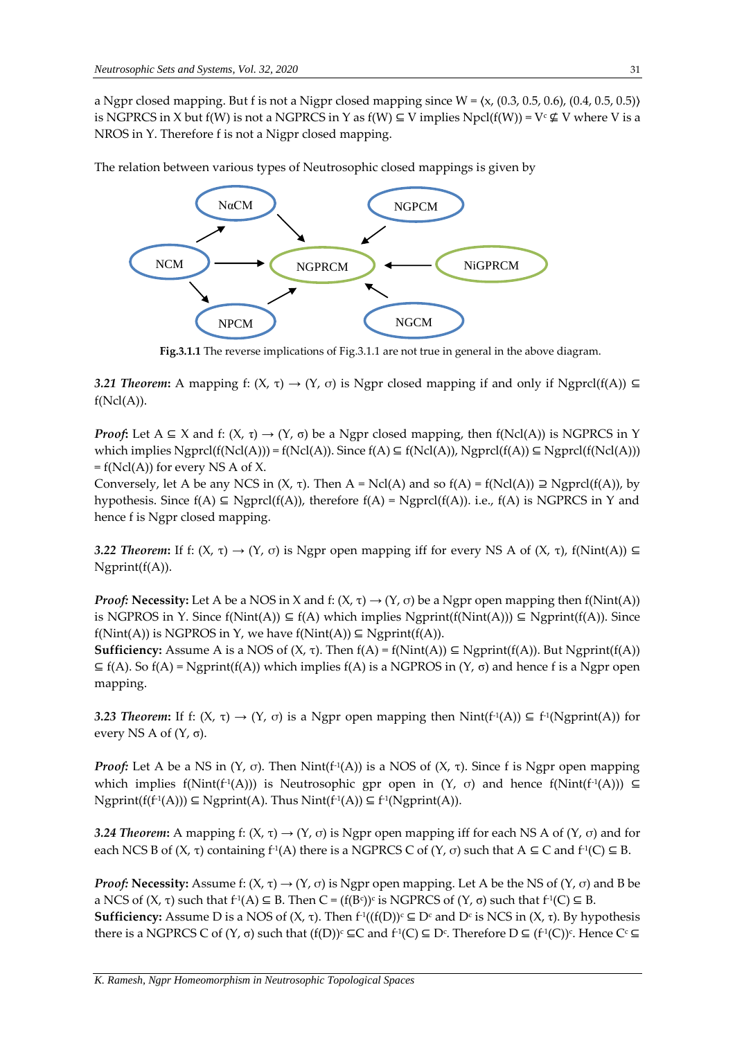a Ngpr closed mapping. But f is not a Nigpr closed mapping since  $W = \langle x, (0.3, 0.5, 0.6), (0.4, 0.5, 0.5) \rangle$ is NGPRCS in X but  $f(W)$  is not a NGPRCS in Y as  $f(W) \subseteq V$  implies Npcl( $f(W)$ ) = V<sup>c</sup>  $\nsubseteq$  V where V is a NROS in Y. Therefore f is not a Nigpr closed mapping.

The relation between various types of Neutrosophic closed mappings is given by



**Fig.3.1.1** The reverse implications of Fig.3.1.1 are not true in general in the above diagram.

**3.21 Theorem:** A mapping f: (X, τ) → (Y, σ) is Ngpr closed mapping if and only if Ngprcl(f(A)) ⊆  $f(Ncl(A)).$ 

*Proof*: Let  $A \subseteq X$  and f:  $(X, \tau) \to (Y, \sigma)$  be a Ngpr closed mapping, then f(Ncl(A)) is NGPRCS in Y which implies  $Ngprcl(f(Ncl(A))) = f(Ncl(A))$ . Since  $f(A) \subseteq f(Ncl(A))$ ,  $Ngprcl(f(A)) \subseteq Ngprcl(f(Ncl(A)))$  $= f(Ncl(A))$  for every NS A of X.

Conversely, let A be any NCS in  $(X, \tau)$ . Then A = Ncl(A) and so  $f(A) = f(Ncl(A)) \supseteq Ngrcl(f(A))$ , by hypothesis. Since  $f(A) \subseteq Ngprcl(f(A))$ , therefore  $f(A) = Ngprcl(f(A))$ . i.e.,  $f(A)$  is NGPRCS in Y and hence f is Ngpr closed mapping.

*3.22 Theorem*: If f: (X, τ) → (Y, σ) is Ngpr open mapping iff for every NS A of (X, τ), f(Nint(A)) ⊆ Ngprint(f(A)).

*Proof:* **Necessity:** Let A be a NOS in X and f:  $(X, \tau) \rightarrow (Y, \sigma)$  be a Ngpr open mapping then  $f(Nint(A))$ is NGPROS in Y. Since  $f(Nint(A)) \subseteq f(A)$  which implies Ngprint $(f(Nint(A))) \subseteq N$ gprint $(f(A))$ . Since  $f(Nint(A))$  is NGPROS in Y, we have  $f(Nint(A)) \subseteq Ngprint(f(A)).$ 

**Sufficiency:** Assume A is a NOS of  $(X, \tau)$ . Then  $f(A) = f(Nint(A)) \subseteq Ngprint(f(A))$ . But Ngprint( $f(A)$ )  $\subseteq$  f(A). So f(A) = Ngprint(f(A)) which implies f(A) is a NGPROS in (Y,  $\sigma$ ) and hence f is a Ngpr open mapping.

3.23 *Theorem*: If f: (X, τ) → (Y, σ) is a Ngpr open mapping then Nint(f<sup>-1</sup>(A)) ⊆ f<sup>-1</sup>(Ngprint(A)) for every NS A of  $(Y, \sigma)$ .

*Proof:* Let A be a NS in (Υ, σ). Then  $Nint(f<sup>1</sup>(A))$  is a NOS of (Χ, τ). Since f is Ngpr open mapping which implies f(Nint(f<sup>1</sup>(A))) is Neutrosophic gpr open in (Y, σ) and hence f(Nint(f<sup>1</sup>(A))) ⊆  $N$ gprint(f(f<sup>-1</sup>(A)))  $\subseteq N$ gprint(A). Thus  $Nint(f^{-1}(A)) \subseteq f^{-1}(Ngprint(A)).$ 

*3.24 Theorem*: A mapping f: (*X*, τ) → (*Y*, σ) is Ngpr open mapping iff for each NS A of (*Y*, σ) and for each NCS B of  $(X, \tau)$  containing  $f^{\text{-}1}(A)$  there is a NGPRCS C of  $(Y, \sigma)$  such that  $A \subseteq C$  and  $f^{\text{-}1}(C) \subseteq B$ .

*Proof:* **Necessity:** Assume f:  $(X, \tau) \rightarrow (Y, \sigma)$  is Ngpr open mapping. Let A be the NS of  $(Y, \sigma)$  and B be a NCS of  $(X, \tau)$  such that  $f^1(A) \subseteq B$ . Then  $C = (f(Bc))^c$  is NGPRCS of  $(Y, \sigma)$  such that  $f^1(C) \subseteq B$ . **Sufficiency:** Assume D is a NOS of (X, τ). Then  $f$ <sup>1</sup>((f(D))<sup>c</sup> ⊆ D<sup>c</sup> and D<sup>c</sup> is NCS in (X, τ). By hypothesis there is a NGPRCS C of  $(Y, \sigma)$  such that  $(f(D))^c \subseteq C$  and  $f^1(C) \subseteq D^c$ . Therefore  $D \subseteq (f^1(C))^c$ . Hence  $C^c \subseteq$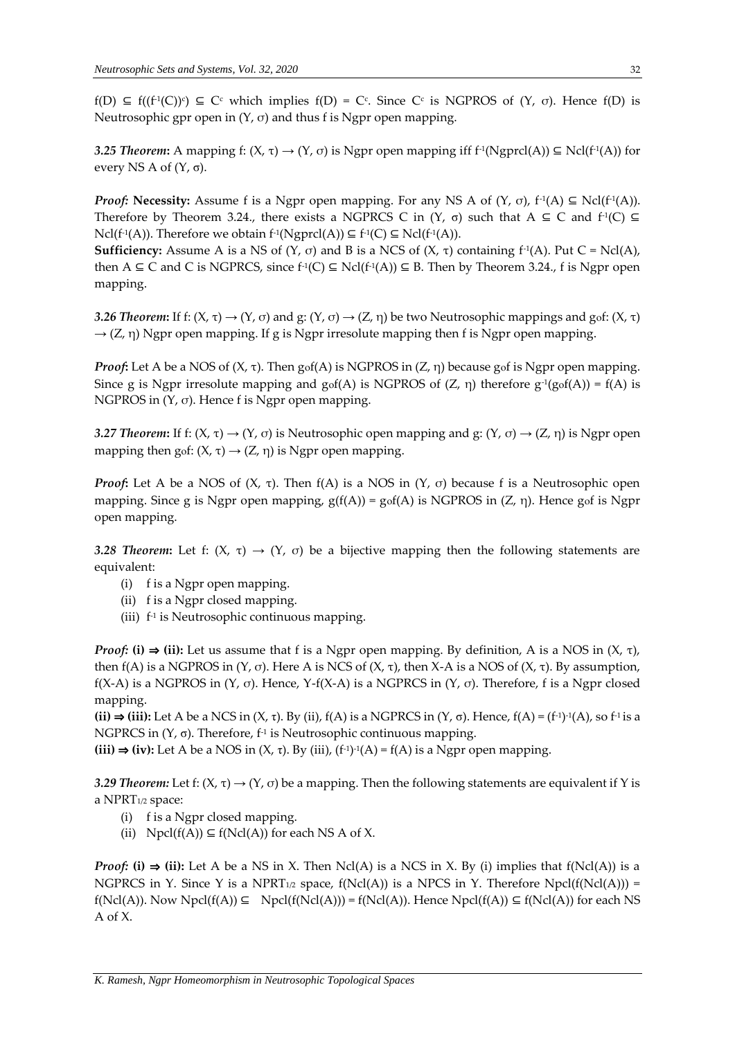$f(D) \subseteq f((f^{-1}(C))^c) \subseteq C^c$  which implies  $f(D) = C^c$ . Since  $C^c$  is NGPROS of  $(Y, \sigma)$ . Hence  $f(D)$  is Neutrosophic gpr open in  $(Y, \sigma)$  and thus f is Ngpr open mapping.

*3.25 Theorem*: A mapping f: (X, τ) → (Y, σ) is Ngpr open mapping iff f<sup>-1</sup>(Ngprcl(A)) ⊆ Ncl(f<sup>-1</sup>(A)) for every NS A of  $(Y, \sigma)$ .

*Proof:* **Necessity:** Assume f is a Ngpr open mapping. For any NS A of  $(Y, \sigma)$ ,  $f^{-1}(A) \subseteq Ncl(f^{-1}(A))$ . Therefore by Theorem 3.24., there exists a NGPRCS C in  $(Y, \sigma)$  such that A  $\subseteq$  C and f<sup>-1</sup>(C)  $\subseteq$  $Ncl(f^1(A))$ . Therefore we obtain  $f^1(Ngprcl(A)) \subseteq f^1(C) \subseteq Ncl(f^1(A))$ .

**Sufficiency:** Assume A is a NS of  $(Y, \sigma)$  and B is a NCS of  $(X, \tau)$  containing  $f^{-1}(A)$ . Put  $C = Ncl(A)$ , then A ⊆ C and C is NGPRCS, since  $f^1(C)$  ⊆ Ncl( $f^1(A)$ ) ⊆ B. Then by Theorem 3.24., f is Ngpr open mapping.

*3.26 Theorem*: If f: (X, τ)  $\rightarrow$  (Y, σ) and g: (Y, σ)  $\rightarrow$  (Z, η) be two Neutrosophic mappings and gof: (X, τ)  $\rightarrow$  (Z, η) Ngpr open mapping. If g is Ngpr irresolute mapping then f is Ngpr open mapping.

*Proof***:** Let A be a NOS of (X, τ). Then gof(A) is NGPROS in (Z, η) because gof is Ngpr open mapping. Since g is Ngpr irresolute mapping and  $\text{gof}(A)$  is NGPROS of  $(Z, \eta)$  therefore  $g^{-1}(\text{gof}(A)) = f(A)$  is NGPROS in  $(Y, \sigma)$ . Hence f is Ngpr open mapping.

*3.27 Theorem*: If f: (X, τ)  $\rightarrow$  (Y, σ) is Neutrosophic open mapping and g: (Y, σ)  $\rightarrow$  (Z, η) is Ngpr open mapping then gof:  $(X, \tau) \rightarrow (Z, \eta)$  is Ngpr open mapping.

*Proof***:** Let A be a NOS of  $(X, \tau)$ . Then  $f(A)$  is a NOS in  $(Y, \sigma)$  because f is a Neutrosophic open mapping. Since g is Ngpr open mapping,  $g(f(A)) = g_0f(A)$  is NGPROS in  $(Z, \eta)$ . Hence gof is Ngpr open mapping.

*3.28 Theorem*: Let f: (X, τ) → (Y, σ) be a bijective mapping then the following statements are equivalent:

- (i) f is a Ngpr open mapping.
- (ii) f is a Ngpr closed mapping.
- (iii) f -1 is Neutrosophic continuous mapping.

*Proof:* (i)  $\Rightarrow$  (ii): Let us assume that f is a Ngpr open mapping. By definition, A is a NOS in  $(X, \tau)$ , then f(A) is a NGPROS in (Y, σ). Here A is NCS of (X, τ), then X-A is a NOS of (X, τ). By assumption, f(X-A) is a NGPROS in  $(Y, \sigma)$ . Hence, Y-f(X-A) is a NGPRCS in  $(Y, \sigma)$ . Therefore, f is a Ngpr closed mapping.

 $(iii) \Rightarrow (iii):$  Let A be a NCS in  $(X, \tau)$ . By  $(ii)$ ,  $f(A)$  is a NGPRCS in  $(Y, \sigma)$ . Hence,  $f(A) = (f^{-1})^{-1}(A)$ , so  $f^{-1}$  is a NGPRCS in (Y, σ). Therefore, f-1 is Neutrosophic continuous mapping.

 $(iii)$  ⇒  $(iv)$ : Let A be a NOS in  $(X, τ)$ . By  $(iii)$ ,  $(f<sup>-1</sup>)<sup>-1</sup>(A) = f(A)$  is a Ngpr open mapping.

*3.29 Theorem:* Let f:  $(X, \tau) \rightarrow (Y, \sigma)$  be a mapping. Then the following statements are equivalent if Y is a NPRT1/2 space:

- (i) f is a Ngpr closed mapping.
- (ii)  $Npd(f(A)) \subseteq f(Ncl(A))$  for each NS A of X.

*Proof:* **(i)**  $\Rightarrow$  **(ii)**: Let A be a NS in X. Then Ncl(A) is a NCS in X. By (i) implies that  $f(Ncl(A))$  is a NGPRCS in Y. Since Y is a NPRT<sub>1/2</sub> space,  $f(Ncl(A))$  is a NPCS in Y. Therefore Npcl( $f(Ncl(A))$ ) = f(Ncl(A)). Now Npcl(f(A))  $\subseteq$  Npcl(f(Ncl(A))) = f(Ncl(A)). Hence Npcl(f(A))  $\subseteq$  f(Ncl(A)) for each NS A of X.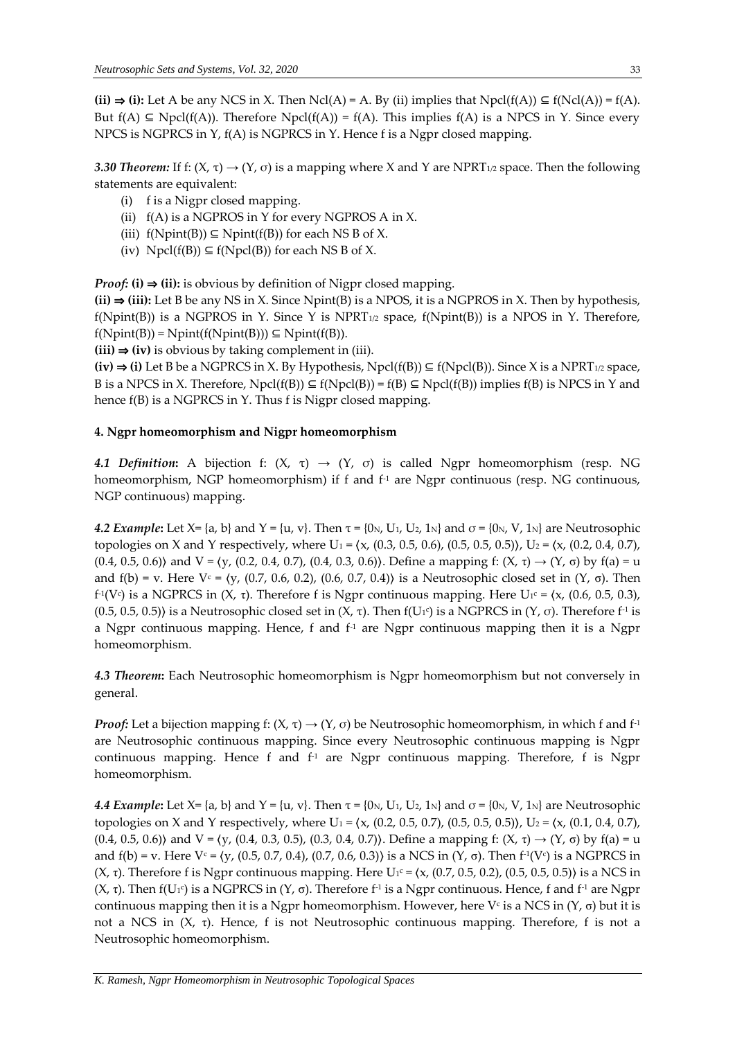$(ii) \Rightarrow (i)$ : Let A be any NCS in X. Then Ncl(A) = A. By (ii) implies that Npcl( $f(A)$ ) ⊆  $f(Ncl(A)) = f(A)$ . But  $f(A) \subseteq Npol(f(A))$ . Therefore  $Npol(f(A)) = f(A)$ . This implies  $f(A)$  is a NPCS in Y. Since every NPCS is NGPRCS in Y, f(A) is NGPRCS in Y. Hence f is a Ngpr closed mapping.

*3.30 Theorem:* If f: (Χ, τ)  $\rightarrow$  (Υ, σ) is a mapping where X and Y are NPRT<sub>1/2</sub> space. Then the following statements are equivalent:

- (i) f is a Nigpr closed mapping.
- (ii)  $f(A)$  is a NGPROS in Y for every NGPROS A in X.
- (iii)  $f(Nprint(B)) \subseteq Nprint(f(B))$  for each NS B of X.
- (iv)  $Npel(f(B)) \subseteq f(Npel(B))$  for each NS B of X.

*Proof:* (i)  $\Rightarrow$  (ii): is obvious by definition of Nigpr closed mapping.

**(ii)** ⇒ **(iii):** Let B be any NS in X. Since Npint(B) is a NPOS, it is a NGPROS in X. Then by hypothesis,  $f(Nprint(B))$  is a NGPROS in Y. Since Y is NPRT<sub>1/2</sub> space,  $f(Nprint(B))$  is a NPOS in Y. Therefore,  $f(Nprint(B)) = Nprint(f(Npint(B))) \subseteq Nprint(f(B)).$ 

**(iii)** ⇒ **(iv)** is obvious by taking complement in (iii).

 $(iv) \Rightarrow (i)$  Let B be a NGPRCS in X. By Hypothesis, Npcl( $f(B)$ ) ⊆  $f(Npel(B))$ . Since X is a NPRT<sub>1/2</sub> space, B is a NPCS in X. Therefore,  $Npol(f(B)) \subseteq f(Npol(B)) = f(B) \subseteq Npol(f(B))$  implies  $f(B)$  is NPCS in Y and hence  $f(B)$  is a NGPRCS in Y. Thus f is Nigpr closed mapping.

### **4. Ngpr homeomorphism and Nigpr homeomorphism**

*4.1 Definition*: A bijection f: (X, τ)  $\rightarrow$  (Y, σ) is called Ngpr homeomorphism (resp. NG homeomorphism, NGP homeomorphism) if f and  $f<sup>1</sup>$  are Ngpr continuous (resp. NG continuous, NGP continuous) mapping.

*4.2 Example*: Let X= {a, b} and Y = {u, v}. Then  $\tau$  = {0<sub>N</sub>, U<sub>1</sub>, U<sub>2</sub>, 1<sub>N</sub>} and  $\sigma$  = {0<sub>N</sub>, V, 1<sub>N</sub>} are Neutrosophic topologies on X and Y respectively, where  $U_1 = \langle x, (0.3, 0.5, 0.6), (0.5, 0.5, 0.5) \rangle$ ,  $U_2 = \langle x, (0.2, 0.4, 0.7), (0.5, 0.5, 0.5, 0.5) \rangle$ (0.4, 0.5, 0.6)) and  $V = \{y, (0.2, 0.4, 0.7), (0.4, 0.3, 0.6)\}\)$ . Define a mapping f:  $(X, \tau) \rightarrow (Y, \sigma)$  by  $f(a) = u$ and f(b) = v. Here V<sup>c</sup> =  $\langle v, (0.7, 0.6, 0.2), (0.6, 0.7, 0.4) \rangle$  is a Neutrosophic closed set in  $(Y, σ)$ . Then f<sup>-1</sup>(V<sup>c</sup>) is a NGPRCS in (X, τ). Therefore f is Ngpr continuous mapping. Here U<sub>1</sub>c = (x, (0.6, 0.5, 0.3), (0.5, 0.5, 0.5)) is a Neutrosophic closed set in (X, τ). Then f(U<sub>1</sub>c) is a NGPRCS in (Y, σ). Therefore f<sup>-1</sup> is a Ngpr continuous mapping. Hence, f and  $f<sup>-1</sup>$  are Ngpr continuous mapping then it is a Ngpr homeomorphism.

*4.3 Theorem***:** Each Neutrosophic homeomorphism is Ngpr homeomorphism but not conversely in general.

*Proof:* Let a bijection mapping f:  $(X, \tau) \rightarrow (Y, \sigma)$  be Neutrosophic homeomorphism, in which f and f<sup>-1</sup> are Neutrosophic continuous mapping. Since every Neutrosophic continuous mapping is Ngpr continuous mapping. Hence f and  $f<sup>-1</sup>$  are Ngpr continuous mapping. Therefore, f is Ngpr homeomorphism.

*4.4 Example*: Let  $X = \{a, b\}$  and  $Y = \{u, v\}$ . Then  $\tau = \{0_N, U_1, U_2, 1_N\}$  and  $\sigma = \{0_N, V, 1_N\}$  are Neutrosophic topologies on X and Y respectively, where  $U_1 = \langle x, (0.2, 0.5, 0.7), (0.5, 0.5, 0.5) \rangle$ ,  $U_2 = \langle x, (0.1, 0.4, 0.7),$ (0.4, 0.5, 0.6)) and  $V = \{y, (0.4, 0.3, 0.5), (0.3, 0.4, 0.7)\}\)$ . Define a mapping f:  $(X, \tau) \rightarrow (Y, \sigma)$  by  $f(a) = u$ and  $f(b) = v$ . Here  $V^c = \langle y, (0.5, 0.7, 0.4), (0.7, 0.6, 0.3) \rangle$  is a NCS in  $(Y, \sigma)$ . Then  $f^1(V^c)$  is a NGPRCS in (X, τ). Therefore f is Ngpr continuous mapping. Here  $U_1$ <sup>c</sup> = (x, (0.7, 0.5, 0.2), (0.5, 0.5, 0.5)) is a NCS in (X, τ). Then f(U1<sup>c</sup>) is a NGPRCS in (Y, σ). Therefore f<sup>-1</sup> is a Ngpr continuous. Hence, f and f<sup>-1</sup> are Ngpr continuous mapping then it is a Ngpr homeomorphism. However, here  $V<sup>c</sup>$  is a NCS in  $(Y, \sigma)$  but it is not a NCS in  $(X, τ)$ . Hence, f is not Neutrosophic continuous mapping. Therefore, f is not a Neutrosophic homeomorphism.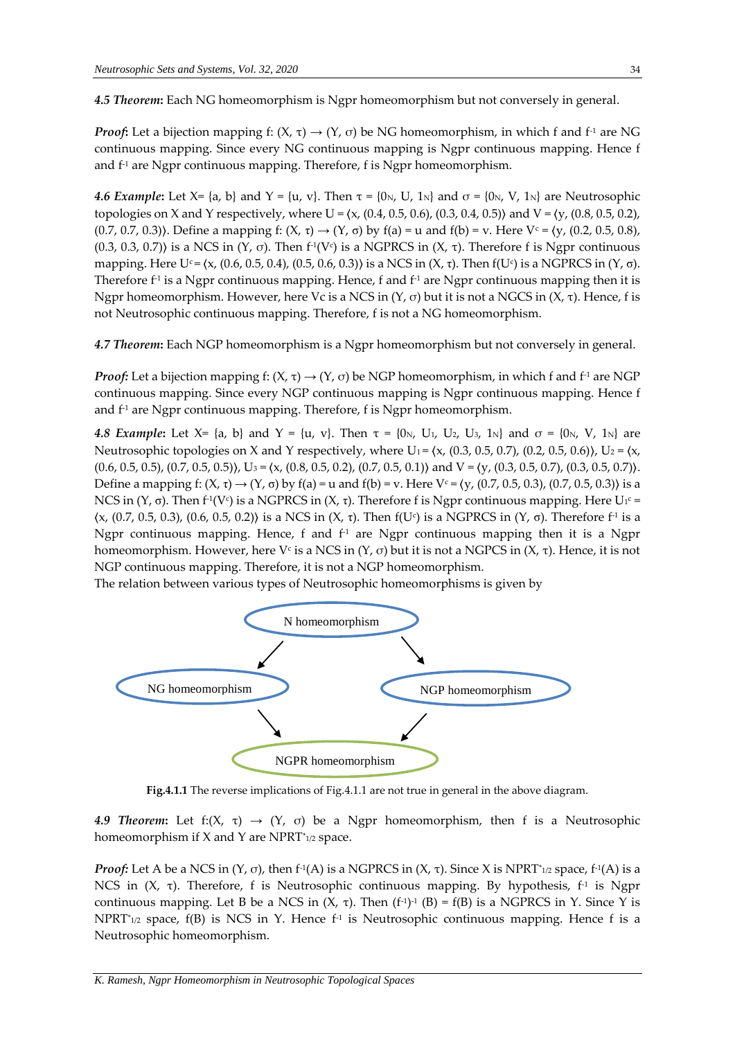*4.5 Theorem***:** Each NG homeomorphism is Ngpr homeomorphism but not conversely in general.

*Proof*: Let a bijection mapping f:  $(X, \tau) \rightarrow (Y, \sigma)$  be NG homeomorphism, in which f and f<sup>-1</sup> are NG continuous mapping. Since every NG continuous mapping is Ngpr continuous mapping. Hence f and  $f<sup>1</sup>$  are Ngpr continuous mapping. Therefore, f is Ngpr homeomorphism.

*4.6 Example*: Let X= {a, b} and Y = {u, v}. Then  $\tau$  = {0<sub>N</sub>, U, 1<sub>N</sub>} and  $\sigma$  = {0<sub>N</sub>, V, 1<sub>N</sub>} are Neutrosophic topologies on X and Y respectively, where U =  $(x, (0.4, 0.5, 0.6), (0.3, 0.4, 0.5))$  and V =  $(y, (0.8, 0.5, 0.2),$ (0.7, 0.7, 0.3)). Define a mapping f: (X, τ)  $\rightarrow$  (Y, σ) by f(a) = u and f(b) = v. Here V<sup>c</sup> = (y, (0.2, 0.5, 0.8), (0.3, 0.3, 0.7)) is a NCS in (Y, σ). Then f<sup>-1</sup>(V<sup>c</sup>) is a NGPRCS in (X, τ). Therefore f is Ngpr continuous mapping. Here U<sup>c</sup> = (x, (0.6, 0.5, 0.4), (0.5, 0.6, 0.3)) is a NCS in (X, τ). Then f(U<sup>c</sup>) is a NGPRCS in (Y, σ). Therefore f<sup>1</sup> is a Ngpr continuous mapping. Hence, f and f<sup>1</sup> are Ngpr continuous mapping then it is Ngpr homeomorphism. However, here Vc is a NCS in (Y, σ) but it is not a NGCS in (X, τ). Hence, f is not Neutrosophic continuous mapping. Therefore, f is not a NG homeomorphism.

*4.7 Theorem***:** Each NGP homeomorphism is a Ngpr homeomorphism but not conversely in general.

*Proof:* Let a bijection mapping f:  $(X, \tau) \rightarrow (Y, \sigma)$  be NGP homeomorphism, in which f and f<sup>-1</sup> are NGP continuous mapping. Since every NGP continuous mapping is Ngpr continuous mapping. Hence f and  $f<sup>1</sup>$  are Ngpr continuous mapping. Therefore, f is Ngpr homeomorphism.

*4.8 Example*: Let  $X = \{a, b\}$  and  $Y = \{u, v\}$ . Then  $\tau = \{0N, U_1, U_2, U_3, 1N\}$  and  $\sigma = \{0N, V, 1N\}$  are Neutrosophic topologies on X and Y respectively, where U<sub>1</sub> =  $(x, (0.3, 0.5, 0.7), (0.2, 0.5, 0.6))$ , U<sub>2</sub> =  $(x, (0.4, 0.5, 0.7), (0.2, 0.5, 0.6))$  $(0.6, 0.5, 0.5)$ ,  $(0.7, 0.5, 0.5)$ ),  $U_3 = \langle x, (0.8, 0.5, 0.2), (0.7, 0.5, 0.1) \rangle$  and  $V = \langle y, (0.3, 0.5, 0.7), (0.3, 0.5, 0.7) \rangle$ . Define a mapping f:  $(X, \tau) \to (Y, \sigma)$  by  $f(a) = u$  and  $f(b) = v$ . Here  $V_c = (y, (0.7, 0.5, 0.3), (0.7, 0.5, 0.3))$  is a NCS in (Y, σ). Then f<sup>-1</sup>(V<sup>c</sup>) is a NGPRCS in (X, τ). Therefore f is Ngpr continuous mapping. Here U<sub>1</sub>c =  $(x, (0.7, 0.5, 0.3), (0.6, 0.5, 0.2))$  is a NCS in  $(X, τ)$ . Then  $f(U<sup>c</sup>)$  is a NGPRCS in  $(Y, σ)$ . Therefore  $f<sup>-1</sup>$  is a Ngpr continuous mapping. Hence, f and  $f<sup>1</sup>$  are Ngpr continuous mapping then it is a Ngpr homeomorphism. However, here V¢ is a NCS in (Υ, σ) but it is not a NGPCS in (Χ, τ). Hence, it is not NGP continuous mapping. Therefore, it is not a NGP homeomorphism.

The relation between various types of Neutrosophic homeomorphisms is given by



**Fig.4.1.1** The reverse implications of Fig.4.1.1 are not true in general in the above diagram.

*4.9 Theorem*: Let f:(X,  $\tau$ )  $\rightarrow$  (Y,  $\sigma$ ) be a Ngpr homeomorphism, then f is a Neutrosophic homeomorphism if X and Y are NPRT\* 1/2 space.

*Proof:* Let A be a NCS in (Υ, σ), then f<sup>-1</sup>(A) is a NGPRCS in (Χ, τ). Since X is NPRT\*1/2 space, f<sup>-1</sup>(A) is a NCS in (X, τ). Therefore, f is Neutrosophic continuous mapping. By hypothesis, f<sup>1</sup> is Ngpr continuous mapping. Let B be a NCS in  $(X, \tau)$ . Then  $(f^{-1})^{-1}$  (B) = f(B) is a NGPRCS in Y. Since Y is NPRT\* 1/2 space, f(B) is NCS in Y. Hence f-1 is Neutrosophic continuous mapping. Hence f is a Neutrosophic homeomorphism.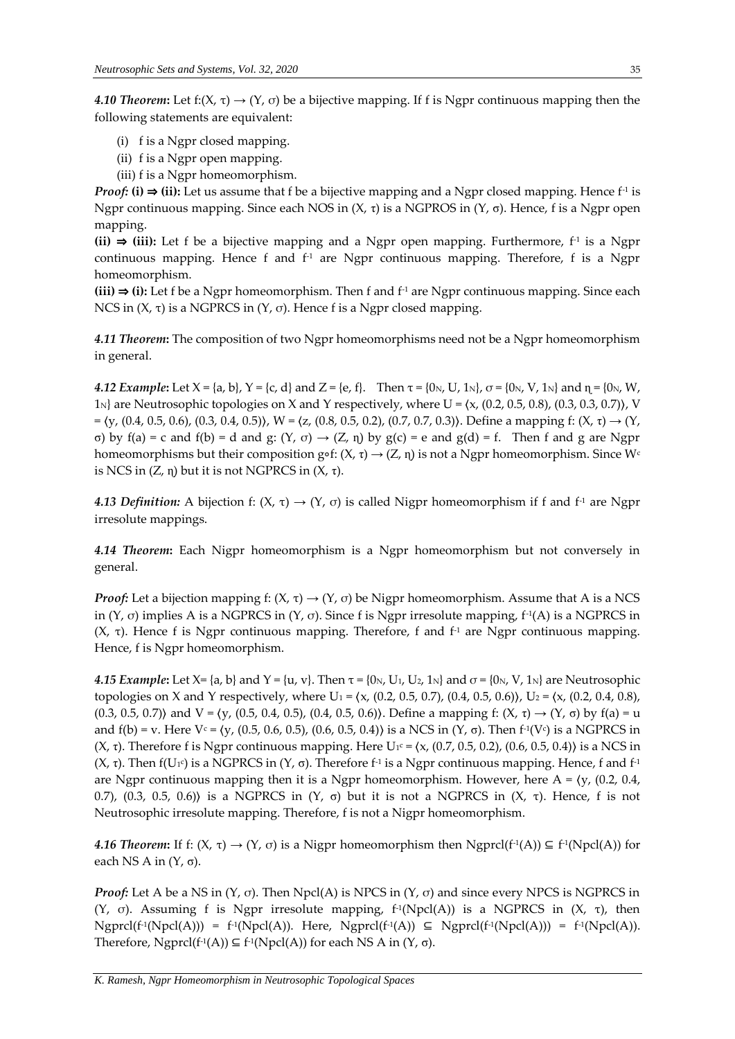*4.10 Theorem*: Let f:(X,  $\tau$ )  $\rightarrow$  (Y,  $\sigma$ ) be a bijective mapping. If f is Ngpr continuous mapping then the following statements are equivalent:

- (i) f is a Ngpr closed mapping.
- (ii) f is a Ngpr open mapping.
- (iii) f is a Ngpr homeomorphism.

*Proof:* (i)  $\Rightarrow$  (ii): Let us assume that f be a bijective mapping and a Ngpr closed mapping. Hence f<sup>-1</sup> is Ngpr continuous mapping. Since each NOS in (X, τ) is a NGPROS in (Y, σ). Hence, f is a Ngpr open mapping.

**(ii)** ⇒ **(iii):** Let f be a bijective mapping and a Ngpr open mapping. Furthermore, f-1 is a Ngpr continuous mapping. Hence  $f$  and  $f<sup>-1</sup>$  are Ngpr continuous mapping. Therefore,  $f$  is a Ngpr homeomorphism.

**(iii)** ⇒ **(i):** Let f be a Ngpr homeomorphism. Then f and f-1 are Ngpr continuous mapping. Since each NCS in  $(X, τ)$  is a NGPRCS in  $(Y, σ)$ . Hence f is a Ngpr closed mapping.

*4.11 Theorem***:** The composition of two Ngpr homeomorphisms need not be a Ngpr homeomorphism in general.

*4.12 Example*: Let  $X = \{a, b\}$ ,  $Y = \{c, d\}$  and  $Z = \{e, f\}$ . Then  $\tau = \{0_N, U, 1_N\}$ ,  $\sigma = \{0_N, V, 1_N\}$  and  $\eta = \{0_N, W, V\}$  $1_N$  are Neutrosophic topologies on X and Y respectively, where U =  $(x, (0.2, 0.5, 0.8), (0.3, 0.3, 0.7))$ , V  $= \langle y, (0.4, 0.5, 0.6), (0.3, 0.4, 0.5) \rangle$ , W =  $\langle z, (0.8, 0.5, 0.2), (0.7, 0.7, 0.3) \rangle$ . Define a mapping f:  $(X, \tau) \rightarrow (Y, \tau)$ σ) by f(a) = c and f(b) = d and g: (Y, σ) → (Z, ɳ) by g(c) = e and g(d) = f. Then f and g are Ngpr homeomorphisms but their composition g∘f:  $(X, \tau) \rightarrow (Z, \eta)$  is not a Ngpr homeomorphism. Since W<sup>c</sup> is NCS in  $(Z, η)$  but it is not NGPRCS in  $(X, τ)$ .

*4.13 Definition:* A bijection f:  $(X, \tau) \rightarrow (Y, \sigma)$  is called Nigpr homeomorphism if f and f<sup>-1</sup> are Ngpr irresolute mappings.

*4.14 Theorem***:** Each Nigpr homeomorphism is a Ngpr homeomorphism but not conversely in general.

*Proof:* Let a bijection mapping f:  $(X, \tau) \rightarrow (Y, \sigma)$  be Nigpr homeomorphism. Assume that A is a NCS in (Y, σ) implies A is a NGPRCS in (Y, σ). Since f is Ngpr irresolute mapping,  $f^1(A)$  is a NGPRCS in (X, τ). Hence f is Ngpr continuous mapping. Therefore, f and  $f<sup>-1</sup>$  are Ngpr continuous mapping. Hence, f is Ngpr homeomorphism.

*4.15 Example*: Let X= {a, b} and Y = {u, v}. Then  $\tau$  = {0<sub>N</sub>, U<sub>1</sub>, U<sub>2</sub>, 1<sub>N</sub>} and  $\sigma$  = {0<sub>N</sub>, V, 1<sub>N</sub>} are Neutrosophic topologies on X and Y respectively, where U<sub>1</sub> =  $(x, (0.2, 0.5, 0.7), (0.4, 0.5, 0.6))$ , U<sub>2</sub> =  $(x, (0.2, 0.4, 0.8))$ (0.3, 0.5, 0.7)) and  $V = \{y, (0.5, 0.4, 0.5), (0.4, 0.5, 0.6)\}\)$ . Define a mapping f:  $(X, \tau) \rightarrow (Y, \sigma)$  by  $f(a) = u$ and  $f(b) = v$ . Here  $V_c = \langle y, (0.5, 0.6, 0.5), (0.6, 0.5, 0.4) \rangle$  is a NCS in  $(Y, \sigma)$ . Then  $f<sup>1</sup>(V_c)$  is a NGPRCS in (X, τ). Therefore f is Ngpr continuous mapping. Here U<sup>1c</sup> = (x, (0.7, 0.5, 0.2), (0.6, 0.5, 0.4)) is a NCS in (X, τ). Then  $f(U_1c)$  is a NGPRCS in (Y, σ). Therefore  $f_1$  is a Ngpr continuous mapping. Hence, f and  $f_1$ are Ngpr continuous mapping then it is a Ngpr homeomorphism. However, here  $A = \langle y, (0.2, 0.4, \mathcal{O}) \rangle$ 0.7), (0.3, 0.5, 0.6) is a NGPRCS in  $(Y, σ)$  but it is not a NGPRCS in  $(X, τ)$ . Hence, f is not Neutrosophic irresolute mapping. Therefore, f is not a Nigpr homeomorphism.

4.16 *Theorem*: If f: (X, τ) → (Y, σ) is a Nigpr homeomorphism then Ngprcl(f<sup>-1</sup>(A)) ⊆ f<sup>-1</sup>(Npcl(A)) for each NS A in  $(Y, σ)$ .

*Proof:* Let A be a NS in  $(Y, \sigma)$ . Then Npcl(A) is NPCS in  $(Y, \sigma)$  and since every NPCS is NGPRCS in (Y, σ). Assuming f is Ngpr irresolute mapping,  $f<sup>1</sup>(Npel(A))$  is a NGPRCS in (X, τ), then  $Ngprcl(f^1(Npcl(A))) = f^1(Npcl(A)).$  Here,  $Ngprcl(f^1(A)) \subseteq Ngprcl(f^1(Npcl(A))) = f^1(Npcl(A)).$ Therefore, Ngprcl(f<sup>-1</sup>(A))  $\subseteq$  f<sup>-1</sup>(Npcl(A)) for each NS A in (Y,  $\sigma$ ).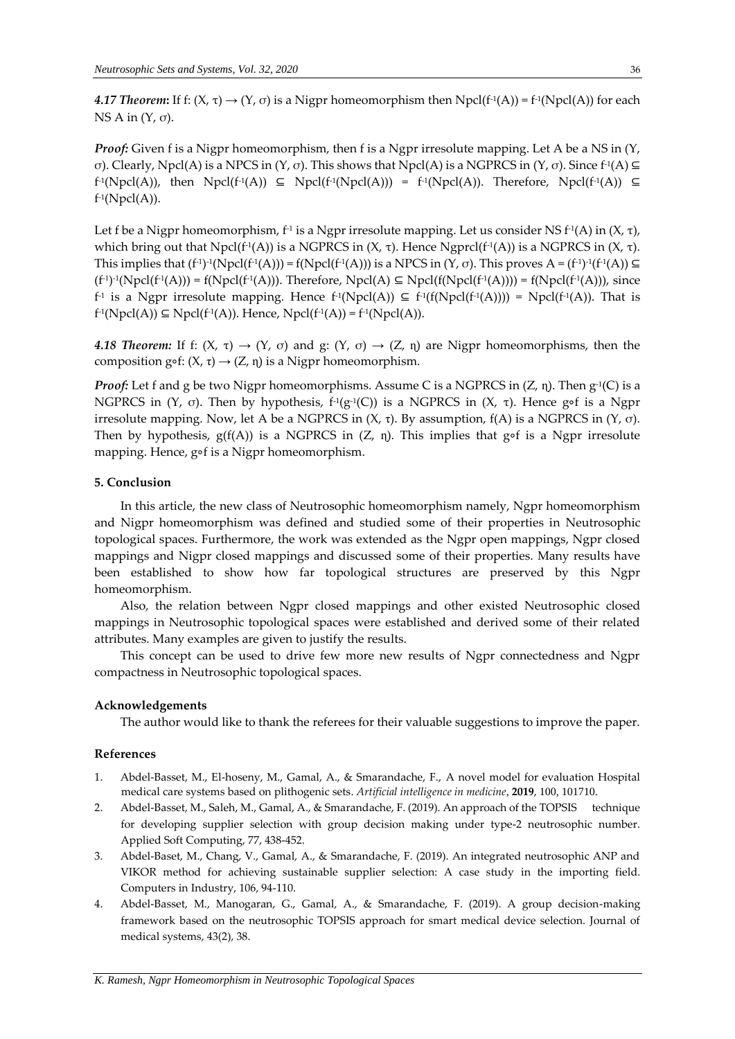*4.17 Theorem*: If f: (Χ, τ) → (Υ, σ) is a Nigpr homeomorphism then Npcl(f<sup>-1</sup>(A)) = f<sup>-1</sup>(Npcl(A)) for each NS A in  $(Y, σ)$ .

*Proof:* Given f is a Nigpr homeomorphism, then f is a Ngpr irresolute mapping. Let A be a NS in  $(Y, Y)$ σ). Clearly, Npcl(A) is a NPCS in (Y, σ). This shows that Npcl(A) is a NGPRCS in (Y, σ). Since f<sup>1</sup>(A)  $\subseteq$  $f<sup>-1</sup>(Npol(A)),$  then  $Npol(f<sup>-1</sup>(A)) \subseteq Npol(f<sup>-1</sup>(Npol(A))) = f<sup>-1</sup>(Npol(A)).$  Therefore,  $Npol(f<sup>-1</sup>(A)) \subseteq$ f -1 (Npcl(A)).

Let f be a Nigpr homeomorphism, f-1 is a Ngpr irresolute mapping. Let us consider NS f-1(A) in (X, τ), which bring out that Npcl(f<sup>-1</sup>(A)) is a NGPRCS in (X, τ). Hence Ngprcl(f<sup>-1</sup>(A)) is a NGPRCS in (X, τ). This implies that  $(f^{-1})^{-1}(Npcl(f^{-1}(A))) = f(Npcl(f^{-1}(A)))$  is a NPCS in  $(Y, \sigma)$ . This proves  $A = (f^{-1})^{-1}(f^{-1}(A)) \subseteq$  $(f^{-1})^{-1}(Npol(f^{-1}(A))) = f(Npol(f^{-1}(A)))$ . Therefore,  $Npol(A) \subseteq Npol(f(Npol(f^{-1}(A)))) = f(Npol(f^{-1}(A)))$ , since  $f_1$  is a Ngpr irresolute mapping. Hence  $f_1(Npol(A)) \subseteq f_1(f(Npol(f_1(A)))) = Npol(f_1(A))$ . That is  $f^{\text{-}1}(\text{Npcl}(\text{A})) \subseteq \text{Npcl}(f^{\text{-}1}(\text{A})).$  Hence,  $\text{Npcl}(f^{\text{-}1}(\text{A})) = f^{\text{-}1}(\text{Npcl}(\text{A})).$ 

*4.18 Theorem:* If f:  $(X, \tau) \rightarrow (Y, \sigma)$  and g:  $(Y, \sigma) \rightarrow (Z, \eta)$  are Nigpr homeomorphisms, then the composition g∘f:  $(X, τ)$  →  $(Z, η)$  is a Nigpr homeomorphism.

*Proof:* Let f and g be two Nigpr homeomorphisms. Assume C is a NGPRCS in (Z, ɳ). Then g-1 (C) is a NGPRCS in (Υ, σ). Then by hypothesis,  $f^1(g^1(C))$  is a NGPRCS in (Χ, τ). Hence g∘f is a Ngpr irresolute mapping. Now, let A be a NGPRCS in  $(X, τ)$ . By assumption,  $f(A)$  is a NGPRCS in  $(Y, σ)$ . Then by hypothesis,  $g(f(A))$  is a NGPRCS in (Z, η). This implies that g∘f is a Ngpr irresolute mapping. Hence, g∘f is a Nigpr homeomorphism.

#### **5. Conclusion**

In this article, the new class of Neutrosophic homeomorphism namely, Ngpr homeomorphism and Nigpr homeomorphism was defined and studied some of their properties in Neutrosophic topological spaces. Furthermore, the work was extended as the Ngpr open mappings, Ngpr closed mappings and Nigpr closed mappings and discussed some of their properties. Many results have been established to show how far topological structures are preserved by this Ngpr homeomorphism.

Also, the relation between Ngpr closed mappings and other existed Neutrosophic closed mappings in Neutrosophic topological spaces were established and derived some of their related attributes. Many examples are given to justify the results.

This concept can be used to drive few more new results of Ngpr connectedness and Ngpr compactness in Neutrosophic topological spaces.

#### **Acknowledgements**

The author would like to thank the referees for their valuable suggestions to improve the paper.

#### **References**

- 1. Abdel-Basset, M., El-hoseny, M., Gamal, A., & Smarandache, F., A novel model for evaluation Hospital medical care systems based on plithogenic sets. *Artificial intelligence in medicine*, **2019**, 100, 101710.
- 2. Abdel-Basset, M., Saleh, M., Gamal, A., & Smarandache, F. (2019). An approach of the TOPSIS technique for developing supplier selection with group decision making under type-2 neutrosophic number. Applied Soft Computing, 77, 438-452.
- 3. Abdel-Baset, M., Chang, V., Gamal, A., & Smarandache, F. (2019). An integrated neutrosophic ANP and VIKOR method for achieving sustainable supplier selection: A case study in the importing field. Computers in Industry, 106, 94-110.
- 4. Abdel-Basset, M., Manogaran, G., Gamal, A., & Smarandache, F. (2019). A group decision-making framework based on the neutrosophic TOPSIS approach for smart medical device selection. Journal of medical systems, 43(2), 38.